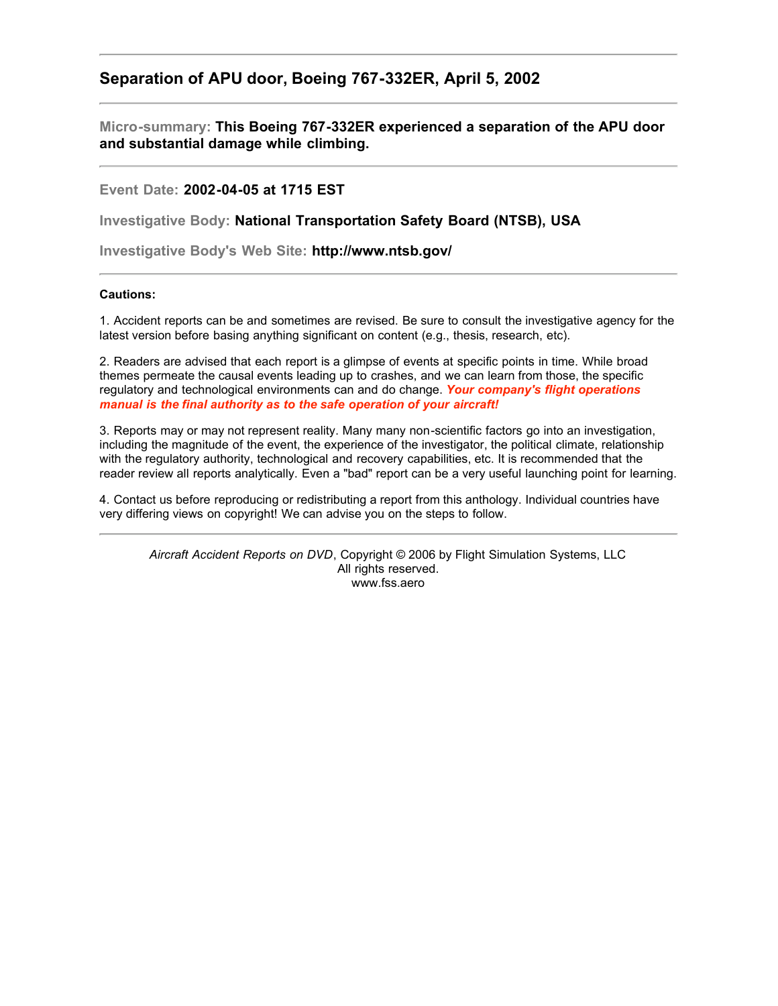## **Separation of APU door, Boeing 767-332ER, April 5, 2002**

**Micro-summary: This Boeing 767-332ER experienced a separation of the APU door and substantial damage while climbing.**

**Event Date: 2002-04-05 at 1715 EST**

**Investigative Body: National Transportation Safety Board (NTSB), USA**

**Investigative Body's Web Site: http://www.ntsb.gov/**

## **Cautions:**

1. Accident reports can be and sometimes are revised. Be sure to consult the investigative agency for the latest version before basing anything significant on content (e.g., thesis, research, etc).

2. Readers are advised that each report is a glimpse of events at specific points in time. While broad themes permeate the causal events leading up to crashes, and we can learn from those, the specific regulatory and technological environments can and do change. *Your company's flight operations manual is the final authority as to the safe operation of your aircraft!*

3. Reports may or may not represent reality. Many many non-scientific factors go into an investigation, including the magnitude of the event, the experience of the investigator, the political climate, relationship with the regulatory authority, technological and recovery capabilities, etc. It is recommended that the reader review all reports analytically. Even a "bad" report can be a very useful launching point for learning.

4. Contact us before reproducing or redistributing a report from this anthology. Individual countries have very differing views on copyright! We can advise you on the steps to follow.

*Aircraft Accident Reports on DVD*, Copyright © 2006 by Flight Simulation Systems, LLC All rights reserved. www.fss.aero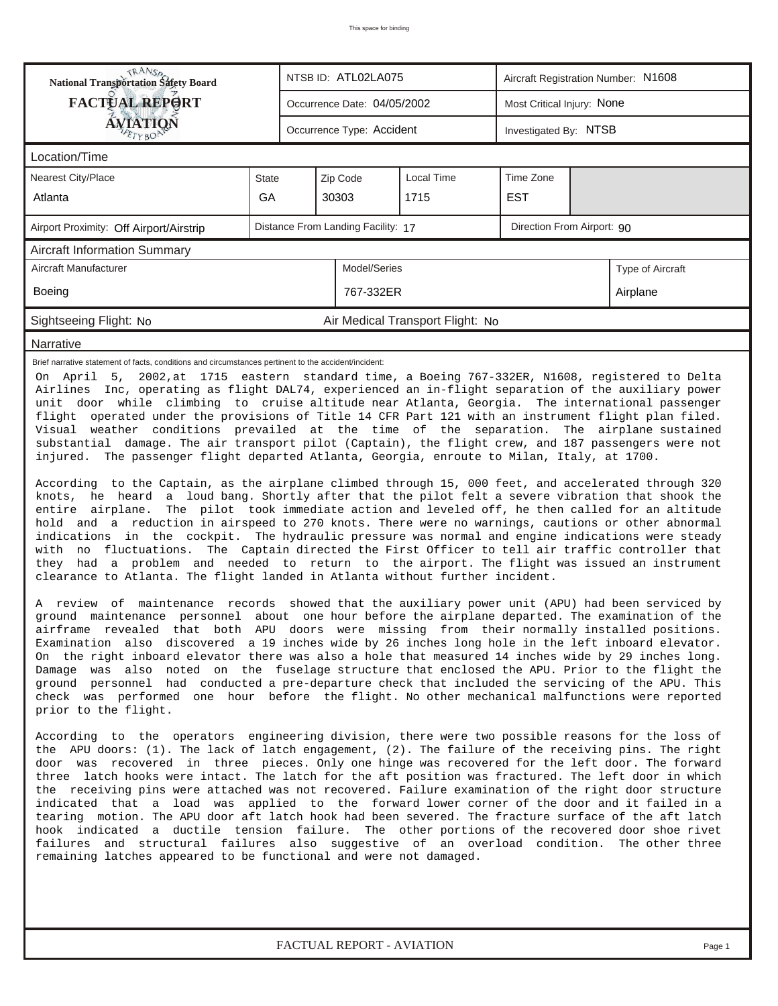| <b>National Transportation Safety Board</b>                                                                                                                                                                                                                                                                                                                                                                                                                                                                                                                                                                                                                                                                                                                                                                                                                                                                                                                                                                                                                                                                                                                                                                                                                                                                                                                                                                                                                                                                                                                                                                                                                                                                                                                                                                                                                                                                                                                                                                                                                                                                                                                                                                                                                                                                                                                                                                                                                                                                                                                                                                                                                                                                                                                                                                                                                                                                                                                                                                                                                                                                                                                                                                                                                                                                                                                                                                                                                                                       |              |  | NTSB ID: ATL02LA075                                              |                                  | Aircraft Registration Number: N1608 |  |                  |  |  |
|---------------------------------------------------------------------------------------------------------------------------------------------------------------------------------------------------------------------------------------------------------------------------------------------------------------------------------------------------------------------------------------------------------------------------------------------------------------------------------------------------------------------------------------------------------------------------------------------------------------------------------------------------------------------------------------------------------------------------------------------------------------------------------------------------------------------------------------------------------------------------------------------------------------------------------------------------------------------------------------------------------------------------------------------------------------------------------------------------------------------------------------------------------------------------------------------------------------------------------------------------------------------------------------------------------------------------------------------------------------------------------------------------------------------------------------------------------------------------------------------------------------------------------------------------------------------------------------------------------------------------------------------------------------------------------------------------------------------------------------------------------------------------------------------------------------------------------------------------------------------------------------------------------------------------------------------------------------------------------------------------------------------------------------------------------------------------------------------------------------------------------------------------------------------------------------------------------------------------------------------------------------------------------------------------------------------------------------------------------------------------------------------------------------------------------------------------------------------------------------------------------------------------------------------------------------------------------------------------------------------------------------------------------------------------------------------------------------------------------------------------------------------------------------------------------------------------------------------------------------------------------------------------------------------------------------------------------------------------------------------------------------------------------------------------------------------------------------------------------------------------------------------------------------------------------------------------------------------------------------------------------------------------------------------------------------------------------------------------------------------------------------------------------------------------------------------------------------------------------------------------|--------------|--|------------------------------------------------------------------|----------------------------------|-------------------------------------|--|------------------|--|--|
| <b>FACTUAL REPORT</b>                                                                                                                                                                                                                                                                                                                                                                                                                                                                                                                                                                                                                                                                                                                                                                                                                                                                                                                                                                                                                                                                                                                                                                                                                                                                                                                                                                                                                                                                                                                                                                                                                                                                                                                                                                                                                                                                                                                                                                                                                                                                                                                                                                                                                                                                                                                                                                                                                                                                                                                                                                                                                                                                                                                                                                                                                                                                                                                                                                                                                                                                                                                                                                                                                                                                                                                                                                                                                                                                             |              |  | Occurrence Date: 04/05/2002                                      |                                  | Most Critical Injury: None          |  |                  |  |  |
| AVIATION                                                                                                                                                                                                                                                                                                                                                                                                                                                                                                                                                                                                                                                                                                                                                                                                                                                                                                                                                                                                                                                                                                                                                                                                                                                                                                                                                                                                                                                                                                                                                                                                                                                                                                                                                                                                                                                                                                                                                                                                                                                                                                                                                                                                                                                                                                                                                                                                                                                                                                                                                                                                                                                                                                                                                                                                                                                                                                                                                                                                                                                                                                                                                                                                                                                                                                                                                                                                                                                                                          |              |  | Occurrence Type: Accident                                        |                                  | Investigated By: NTSB               |  |                  |  |  |
| Location/Time                                                                                                                                                                                                                                                                                                                                                                                                                                                                                                                                                                                                                                                                                                                                                                                                                                                                                                                                                                                                                                                                                                                                                                                                                                                                                                                                                                                                                                                                                                                                                                                                                                                                                                                                                                                                                                                                                                                                                                                                                                                                                                                                                                                                                                                                                                                                                                                                                                                                                                                                                                                                                                                                                                                                                                                                                                                                                                                                                                                                                                                                                                                                                                                                                                                                                                                                                                                                                                                                                     |              |  |                                                                  |                                  |                                     |  |                  |  |  |
| Nearest City/Place                                                                                                                                                                                                                                                                                                                                                                                                                                                                                                                                                                                                                                                                                                                                                                                                                                                                                                                                                                                                                                                                                                                                                                                                                                                                                                                                                                                                                                                                                                                                                                                                                                                                                                                                                                                                                                                                                                                                                                                                                                                                                                                                                                                                                                                                                                                                                                                                                                                                                                                                                                                                                                                                                                                                                                                                                                                                                                                                                                                                                                                                                                                                                                                                                                                                                                                                                                                                                                                                                | <b>State</b> |  | Zip Code                                                         | Local Time<br>Time Zone          |                                     |  |                  |  |  |
| Atlanta                                                                                                                                                                                                                                                                                                                                                                                                                                                                                                                                                                                                                                                                                                                                                                                                                                                                                                                                                                                                                                                                                                                                                                                                                                                                                                                                                                                                                                                                                                                                                                                                                                                                                                                                                                                                                                                                                                                                                                                                                                                                                                                                                                                                                                                                                                                                                                                                                                                                                                                                                                                                                                                                                                                                                                                                                                                                                                                                                                                                                                                                                                                                                                                                                                                                                                                                                                                                                                                                                           | GA           |  | 30303                                                            | 1715                             | <b>EST</b>                          |  |                  |  |  |
| Airport Proximity: Off Airport/Airstrip                                                                                                                                                                                                                                                                                                                                                                                                                                                                                                                                                                                                                                                                                                                                                                                                                                                                                                                                                                                                                                                                                                                                                                                                                                                                                                                                                                                                                                                                                                                                                                                                                                                                                                                                                                                                                                                                                                                                                                                                                                                                                                                                                                                                                                                                                                                                                                                                                                                                                                                                                                                                                                                                                                                                                                                                                                                                                                                                                                                                                                                                                                                                                                                                                                                                                                                                                                                                                                                           |              |  | Distance From Landing Facility: 17<br>Direction From Airport: 90 |                                  |                                     |  |                  |  |  |
| <b>Aircraft Information Summary</b>                                                                                                                                                                                                                                                                                                                                                                                                                                                                                                                                                                                                                                                                                                                                                                                                                                                                                                                                                                                                                                                                                                                                                                                                                                                                                                                                                                                                                                                                                                                                                                                                                                                                                                                                                                                                                                                                                                                                                                                                                                                                                                                                                                                                                                                                                                                                                                                                                                                                                                                                                                                                                                                                                                                                                                                                                                                                                                                                                                                                                                                                                                                                                                                                                                                                                                                                                                                                                                                               |              |  |                                                                  |                                  |                                     |  |                  |  |  |
| Aircraft Manufacturer                                                                                                                                                                                                                                                                                                                                                                                                                                                                                                                                                                                                                                                                                                                                                                                                                                                                                                                                                                                                                                                                                                                                                                                                                                                                                                                                                                                                                                                                                                                                                                                                                                                                                                                                                                                                                                                                                                                                                                                                                                                                                                                                                                                                                                                                                                                                                                                                                                                                                                                                                                                                                                                                                                                                                                                                                                                                                                                                                                                                                                                                                                                                                                                                                                                                                                                                                                                                                                                                             |              |  | Model/Series                                                     |                                  |                                     |  | Type of Aircraft |  |  |
| Boeing                                                                                                                                                                                                                                                                                                                                                                                                                                                                                                                                                                                                                                                                                                                                                                                                                                                                                                                                                                                                                                                                                                                                                                                                                                                                                                                                                                                                                                                                                                                                                                                                                                                                                                                                                                                                                                                                                                                                                                                                                                                                                                                                                                                                                                                                                                                                                                                                                                                                                                                                                                                                                                                                                                                                                                                                                                                                                                                                                                                                                                                                                                                                                                                                                                                                                                                                                                                                                                                                                            |              |  | 767-332ER                                                        |                                  |                                     |  | Airplane         |  |  |
| Sightseeing Flight: No                                                                                                                                                                                                                                                                                                                                                                                                                                                                                                                                                                                                                                                                                                                                                                                                                                                                                                                                                                                                                                                                                                                                                                                                                                                                                                                                                                                                                                                                                                                                                                                                                                                                                                                                                                                                                                                                                                                                                                                                                                                                                                                                                                                                                                                                                                                                                                                                                                                                                                                                                                                                                                                                                                                                                                                                                                                                                                                                                                                                                                                                                                                                                                                                                                                                                                                                                                                                                                                                            |              |  |                                                                  | Air Medical Transport Flight: No |                                     |  |                  |  |  |
| Narrative                                                                                                                                                                                                                                                                                                                                                                                                                                                                                                                                                                                                                                                                                                                                                                                                                                                                                                                                                                                                                                                                                                                                                                                                                                                                                                                                                                                                                                                                                                                                                                                                                                                                                                                                                                                                                                                                                                                                                                                                                                                                                                                                                                                                                                                                                                                                                                                                                                                                                                                                                                                                                                                                                                                                                                                                                                                                                                                                                                                                                                                                                                                                                                                                                                                                                                                                                                                                                                                                                         |              |  |                                                                  |                                  |                                     |  |                  |  |  |
| Brief narrative statement of facts, conditions and circumstances pertinent to the accident/incident:<br>On April 5, 2002, at 1715 eastern standard time, a Boeing 767-332ER, N1608, registered to Delta<br>Airlines Inc, operating as flight DAL74, experienced an in-flight separation of the auxiliary power<br>unit door while climbing to cruise altitude near Atlanta, Georgia. The international passenger<br>flight operated under the provisions of Title 14 CFR Part 121 with an instrument flight plan filed.<br>Visual weather conditions prevailed at the time of the separation.<br>The airplane sustained<br>substantial damage. The air transport pilot (Captain), the flight crew, and 187 passengers were not<br>injured. The passenger flight departed Atlanta, Georgia, enroute to Milan, Italy, at 1700.<br>According to the Captain, as the airplane climbed through 15, 000 feet, and accelerated through 320<br>knots, he heard a loud bang. Shortly after that the pilot felt a severe vibration that shook the<br>entire airplane. The pilot took immediate action and leveled off, he then called for an altitude<br>hold and a reduction in airspeed to 270 knots. There were no warnings, cautions or other abnormal<br>indications in the cockpit. The hydraulic pressure was normal and engine indications were steady<br>with no fluctuations. The Captain directed the First Officer to tell air traffic controller that<br>they had a problem and needed to return to the airport. The flight was issued an instrument<br>clearance to Atlanta. The flight landed in Atlanta without further incident.<br>A review of maintenance records showed that the auxiliary power unit (APU) had been serviced by<br>ground maintenance personnel about one hour before the airplane departed. The examination of the<br>airframe revealed that both APU doors were missing from their normally installed positions.<br>Examination also discovered a 19 inches wide by 26 inches long hole in the left inboard elevator.<br>On the right inboard elevator there was also a hole that measured 14 inches wide by 29 inches long.<br>Damage was also noted on the fuselage structure that enclosed the APU. Prior to the flight the<br>ground personnel had conducted a pre-departure check that included the servicing of the APU. This<br>check was performed one hour before the flight. No other mechanical malfunctions were reported<br>prior to the flight.<br>According to the operators engineering division, there were two possible reasons for the loss of<br>the APU doors: (1). The lack of latch engagement, (2). The failure of the receiving pins. The right<br>door was recovered in three pieces. Only one hinge was recovered for the left door. The forward<br>three latch hooks were intact. The latch for the aft position was fractured. The left door in which<br>the receiving pins were attached was not recovered. Failure examination of the right door structure<br>indicated that a load was applied to the forward lower corner of the door and it failed in a<br>tearing motion. The APU door aft latch hook had been severed. The fracture surface of the aft latch<br>hook indicated a ductile tension failure. The other portions of the recovered door shoe rivet<br>failures and structural failures also suggestive of an overload condition. The other three<br>remaining latches appeared to be functional and were not damaged. |              |  |                                                                  |                                  |                                     |  |                  |  |  |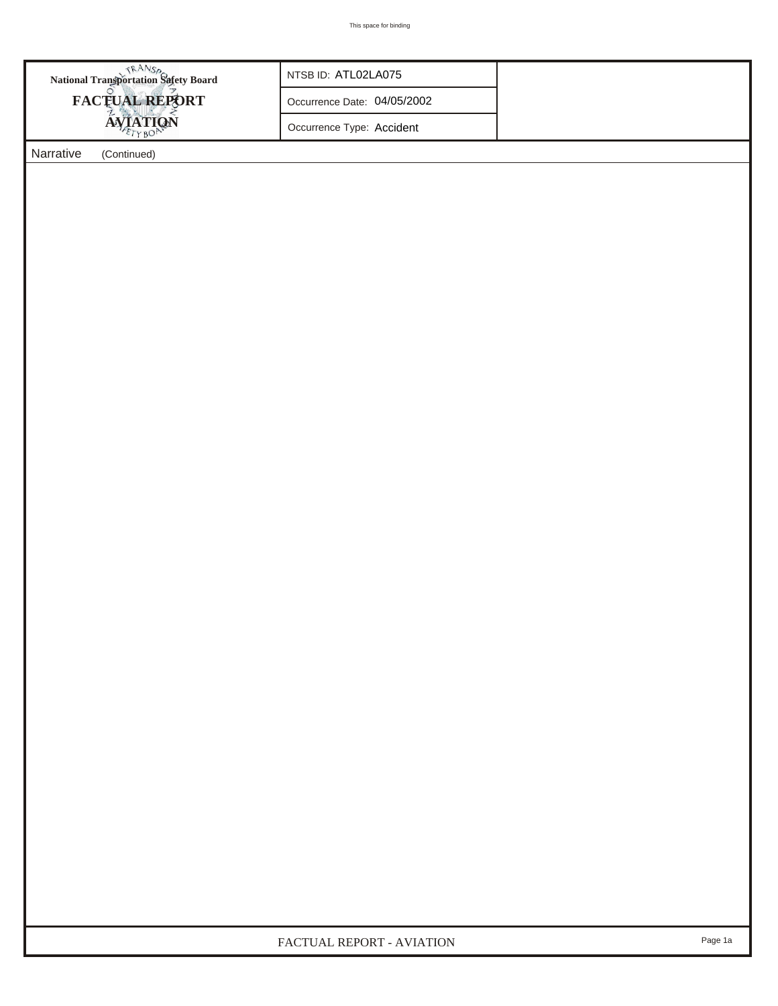| <b>National Transportation Safety Board</b> | NTSB ID: ATL02LA075         |  |
|---------------------------------------------|-----------------------------|--|
| <b>FACTUAL REPORT</b>                       | Occurrence Date: 04/05/2002 |  |
| <b>AVIATION</b>                             | Occurrence Type: Accident   |  |
| Narrative<br>(Continued)                    |                             |  |
|                                             |                             |  |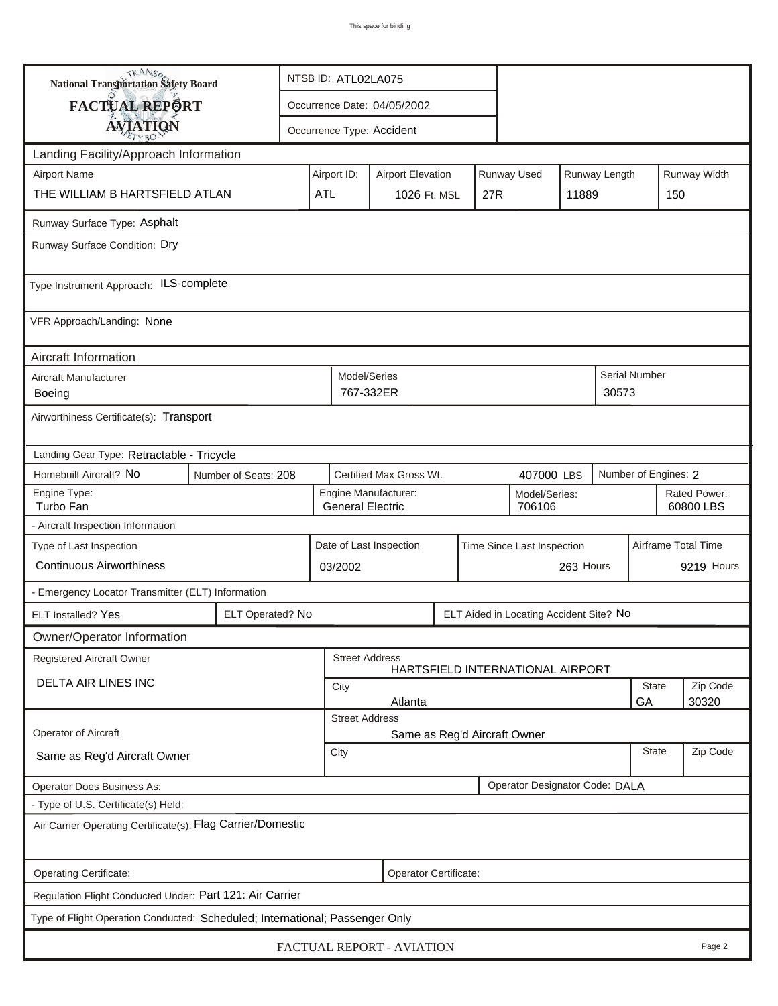| <b>National Transportation Safety Board</b>                                  |                       | NTSB ID: ATL02LA075                   |                                                       |                                                 |     |             |                                         |                      |            |                           |       |  |
|------------------------------------------------------------------------------|-----------------------|---------------------------------------|-------------------------------------------------------|-------------------------------------------------|-----|-------------|-----------------------------------------|----------------------|------------|---------------------------|-------|--|
| FACTUAL REPORT                                                               |                       | Occurrence Date: 04/05/2002           |                                                       |                                                 |     |             |                                         |                      |            |                           |       |  |
| <b>AVIATION</b>                                                              |                       |                                       |                                                       | Occurrence Type: Accident                       |     |             |                                         |                      |            |                           |       |  |
| Landing Facility/Approach Information                                        |                       |                                       |                                                       |                                                 |     |             |                                         |                      |            |                           |       |  |
| <b>Airport Name</b>                                                          | Airport ID:           |                                       | <b>Airport Elevation</b>                              |                                                 |     | Runway Used |                                         | Runway Length        |            | Runway Width              |       |  |
| THE WILLIAM B HARTSFIELD ATLAN                                               | <b>ATL</b>            |                                       | 1026 Ft. MSL                                          |                                                 | 27R |             | 11889                                   |                      | 150        |                           |       |  |
| Runway Surface Type: Asphalt                                                 |                       |                                       |                                                       |                                                 |     |             |                                         |                      |            |                           |       |  |
| Runway Surface Condition: Dry                                                |                       |                                       |                                                       |                                                 |     |             |                                         |                      |            |                           |       |  |
| Type Instrument Approach: ILS-complete                                       |                       |                                       |                                                       |                                                 |     |             |                                         |                      |            |                           |       |  |
| VFR Approach/Landing: None                                                   |                       |                                       |                                                       |                                                 |     |             |                                         |                      |            |                           |       |  |
| Aircraft Information                                                         |                       |                                       |                                                       |                                                 |     |             |                                         |                      |            |                           |       |  |
| Aircraft Manufacturer<br>Boeing                                              |                       |                                       | Model/Series<br>767-332ER                             |                                                 |     |             |                                         |                      | 30573      | Serial Number             |       |  |
| Airworthiness Certificate(s): Transport                                      |                       |                                       |                                                       |                                                 |     |             |                                         |                      |            |                           |       |  |
| Landing Gear Type: Retractable - Tricycle                                    |                       |                                       |                                                       |                                                 |     |             |                                         |                      |            |                           |       |  |
| Homebuilt Aircraft? No<br>Number of Seats: 208                               |                       | Certified Max Gross Wt.<br>407000 LBS |                                                       |                                                 |     |             |                                         | Number of Engines: 2 |            |                           |       |  |
| Engine Type:<br>Turbo Fan                                                    |                       |                                       |                                                       | Engine Manufacturer:<br><b>General Electric</b> |     |             | Model/Series:<br>706106                 |                      |            | Rated Power:<br>60800 LBS |       |  |
| - Aircraft Inspection Information                                            |                       |                                       |                                                       |                                                 |     |             |                                         |                      |            |                           |       |  |
| Type of Last Inspection                                                      |                       |                                       | Date of Last Inspection<br>Time Since Last Inspection |                                                 |     |             |                                         |                      |            | Airframe Total Time       |       |  |
| <b>Continuous Airworthiness</b>                                              |                       |                                       | 263 Hours<br>03/2002                                  |                                                 |     |             |                                         |                      | 9219 Hours |                           |       |  |
| - Emergency Locator Transmitter (ELT) Information                            |                       |                                       |                                                       |                                                 |     |             |                                         |                      |            |                           |       |  |
| ELT Installed? Yes                                                           | ELT Operated? No      |                                       |                                                       |                                                 |     |             | ELT Aided in Locating Accident Site? No |                      |            |                           |       |  |
| Owner/Operator Information                                                   |                       |                                       |                                                       |                                                 |     |             |                                         |                      |            |                           |       |  |
| Registered Aircraft Owner                                                    |                       |                                       | <b>Street Address</b>                                 |                                                 |     |             | HARTSFIELD INTERNATIONAL AIRPORT        |                      |            |                           |       |  |
| <b>DELTA AIR LINES INC</b>                                                   |                       |                                       | State<br>City                                         |                                                 |     |             |                                         |                      |            | Zip Code                  |       |  |
|                                                                              |                       |                                       | <b>Street Address</b>                                 | Atlanta                                         |     |             |                                         |                      |            | GA                        | 30320 |  |
| Operator of Aircraft                                                         |                       |                                       |                                                       | Same as Reg'd Aircraft Owner                    |     |             |                                         |                      |            |                           |       |  |
| Same as Reg'd Aircraft Owner                                                 |                       | City                                  | <b>State</b>                                          |                                                 |     |             |                                         |                      |            | Zip Code                  |       |  |
| Operator Does Business As:                                                   |                       |                                       |                                                       |                                                 |     |             | Operator Designator Code: DALA          |                      |            |                           |       |  |
| - Type of U.S. Certificate(s) Held:                                          |                       |                                       |                                                       |                                                 |     |             |                                         |                      |            |                           |       |  |
| Air Carrier Operating Certificate(s): Flag Carrier/Domestic                  |                       |                                       |                                                       |                                                 |     |             |                                         |                      |            |                           |       |  |
| Operating Certificate:                                                       | Operator Certificate: |                                       |                                                       |                                                 |     |             |                                         |                      |            |                           |       |  |
| Regulation Flight Conducted Under: Part 121: Air Carrier                     |                       |                                       |                                                       |                                                 |     |             |                                         |                      |            |                           |       |  |
| Type of Flight Operation Conducted: Scheduled; International; Passenger Only |                       |                                       |                                                       |                                                 |     |             |                                         |                      |            |                           |       |  |
| FACTUAL REPORT - AVIATION<br>Page 2                                          |                       |                                       |                                                       |                                                 |     |             |                                         |                      |            |                           |       |  |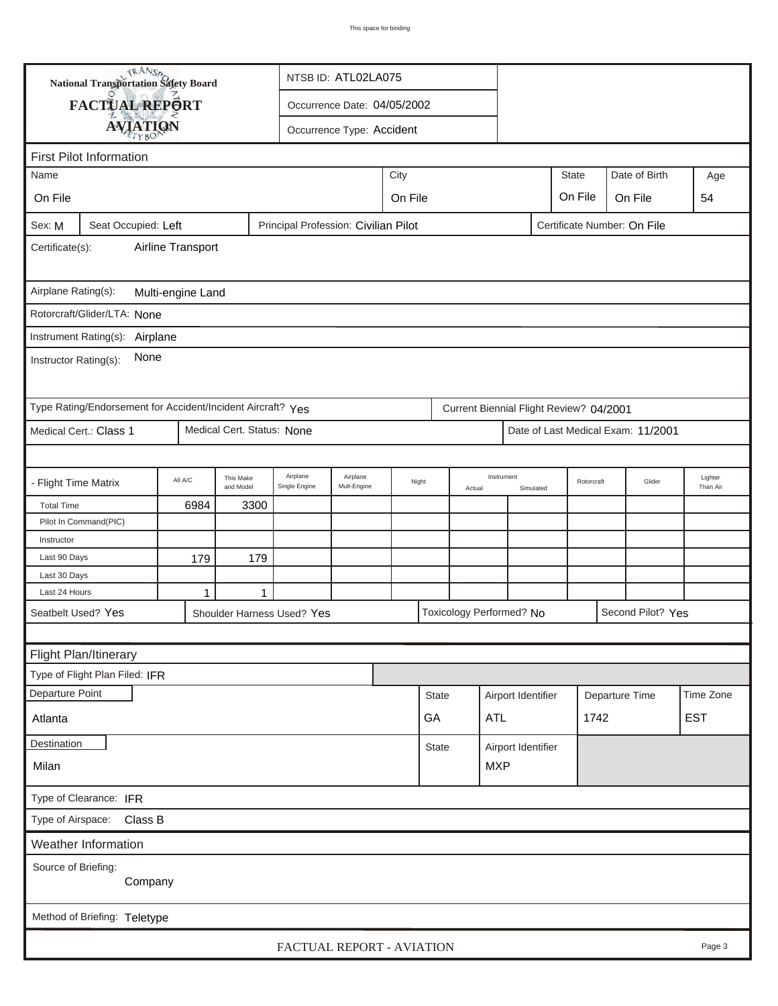| <b>National Transportation Safety Board</b><br>NTSB ID: ATL02LA075                                   |                                                             |         |                             |                            |                               |       |                                    |        |                          |                    |                                         |                |                                    |                     |
|------------------------------------------------------------------------------------------------------|-------------------------------------------------------------|---------|-----------------------------|----------------------------|-------------------------------|-------|------------------------------------|--------|--------------------------|--------------------|-----------------------------------------|----------------|------------------------------------|---------------------|
|                                                                                                      | FACTUAL REPORT                                              |         | Occurrence Date: 04/05/2002 |                            |                               |       |                                    |        |                          |                    |                                         |                |                                    |                     |
|                                                                                                      |                                                             |         |                             |                            |                               |       |                                    |        |                          |                    |                                         |                |                                    |                     |
|                                                                                                      | <b>AVIATION</b><br>Occurrence Type: Accident                |         |                             |                            |                               |       |                                    |        |                          |                    |                                         |                |                                    |                     |
| <b>First Pilot Information</b>                                                                       |                                                             |         |                             |                            |                               |       |                                    |        |                          |                    |                                         |                |                                    |                     |
| City<br>Name                                                                                         |                                                             |         |                             |                            |                               |       |                                    |        |                          |                    | <b>State</b>                            |                | Date of Birth                      | Age                 |
| On File                                                                                              |                                                             |         |                             |                            | On File<br>On File<br>On File |       |                                    |        |                          |                    |                                         |                |                                    | 54                  |
| Sex: M<br>Seat Occupied: Left<br>Principal Profession: Civilian Pilot<br>Certificate Number: On File |                                                             |         |                             |                            |                               |       |                                    |        |                          |                    |                                         |                |                                    |                     |
| Airline Transport<br>Certificate(s):                                                                 |                                                             |         |                             |                            |                               |       |                                    |        |                          |                    |                                         |                |                                    |                     |
| Airplane Rating(s):<br>Multi-engine Land                                                             |                                                             |         |                             |                            |                               |       |                                    |        |                          |                    |                                         |                |                                    |                     |
|                                                                                                      | Rotorcraft/Glider/LTA: None                                 |         |                             |                            |                               |       |                                    |        |                          |                    |                                         |                |                                    |                     |
|                                                                                                      |                                                             |         |                             |                            |                               |       |                                    |        |                          |                    |                                         |                |                                    |                     |
| Instrument Rating(s):<br>Airplane<br>None<br>Instructor Rating(s):                                   |                                                             |         |                             |                            |                               |       |                                    |        |                          |                    |                                         |                |                                    |                     |
|                                                                                                      | Type Rating/Endorsement for Accident/Incident Aircraft? Yes |         |                             |                            |                               |       |                                    |        |                          |                    | Current Biennial Flight Review? 04/2001 |                |                                    |                     |
|                                                                                                      | Medical Cert.: Class 1                                      |         | Medical Cert. Status: None  |                            |                               |       |                                    |        |                          |                    |                                         |                | Date of Last Medical Exam: 11/2001 |                     |
|                                                                                                      |                                                             |         |                             |                            |                               |       |                                    |        |                          |                    |                                         |                |                                    |                     |
| - Flight Time Matrix                                                                                 |                                                             | All A/C | This Make<br>and Model      | Airplane<br>Single Engine  | Airplane<br>Mult-Engine       | Night |                                    | Actual | Instrument               | Simulated          | Rotorcraft                              |                | Glider                             | Lighter<br>Than Air |
| <b>Total Time</b>                                                                                    |                                                             | 6984    | 3300                        |                            |                               |       |                                    |        |                          |                    |                                         |                |                                    |                     |
|                                                                                                      | Pilot In Command(PIC)                                       |         |                             |                            |                               |       |                                    |        |                          |                    |                                         |                |                                    |                     |
| Instructor                                                                                           |                                                             |         |                             |                            |                               |       |                                    |        |                          |                    |                                         |                |                                    |                     |
| Last 90 Days                                                                                         |                                                             | 179     | 179                         |                            |                               |       |                                    |        |                          |                    |                                         |                |                                    |                     |
| Last 30 Days<br>Last 24 Hours                                                                        |                                                             |         |                             |                            |                               |       |                                    |        |                          |                    |                                         |                |                                    |                     |
|                                                                                                      |                                                             | 1       | $\mathbf 1$                 |                            |                               |       |                                    |        |                          |                    |                                         |                |                                    |                     |
|                                                                                                      | Seatbelt Used? Yes                                          |         |                             | Shoulder Harness Used? Yes |                               |       |                                    |        | Toxicology Performed? No |                    |                                         |                | Second Pilot? Yes                  |                     |
|                                                                                                      |                                                             |         |                             |                            |                               |       |                                    |        |                          |                    |                                         |                |                                    |                     |
|                                                                                                      | Flight Plan/Itinerary                                       |         |                             |                            |                               |       |                                    |        |                          |                    |                                         |                |                                    |                     |
|                                                                                                      | Type of Flight Plan Filed: IFR                              |         |                             |                            |                               |       |                                    |        |                          |                    |                                         |                |                                    |                     |
| Departure Point                                                                                      |                                                             |         |                             |                            |                               |       | <b>State</b>                       |        |                          | Airport Identifier |                                         | Departure Time |                                    | Time Zone           |
| GA<br>Atlanta                                                                                        |                                                             |         |                             |                            |                               |       |                                    |        | ATL                      |                    | 1742                                    |                |                                    | <b>EST</b>          |
| <b>Destination</b>                                                                                   |                                                             |         |                             |                            |                               |       | Airport Identifier<br><b>State</b> |        |                          |                    |                                         |                |                                    |                     |
| Milan                                                                                                |                                                             |         |                             |                            |                               |       |                                    |        | <b>MXP</b>               |                    |                                         |                |                                    |                     |
| Type of Clearance: IFR                                                                               |                                                             |         |                             |                            |                               |       |                                    |        |                          |                    |                                         |                |                                    |                     |
| Type of Airspace: Class B                                                                            |                                                             |         |                             |                            |                               |       |                                    |        |                          |                    |                                         |                |                                    |                     |
| Weather Information                                                                                  |                                                             |         |                             |                            |                               |       |                                    |        |                          |                    |                                         |                |                                    |                     |
| Source of Briefing:<br>Company                                                                       |                                                             |         |                             |                            |                               |       |                                    |        |                          |                    |                                         |                |                                    |                     |
|                                                                                                      | Method of Briefing: Teletype                                |         |                             |                            |                               |       |                                    |        |                          |                    |                                         |                |                                    |                     |
|                                                                                                      |                                                             |         |                             |                            | FACTUAL REPORT - AVIATION     |       |                                    |        |                          |                    |                                         |                |                                    | Page 3              |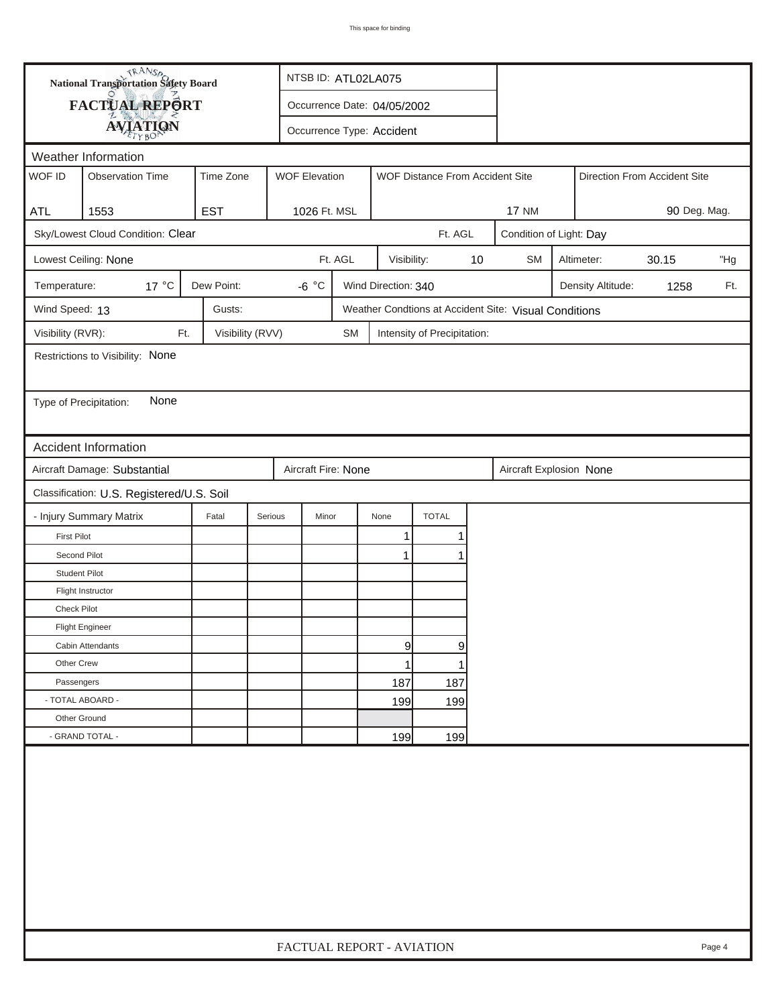|                                                                         | <b>National Transportation Safety Board</b><br>NTSB ID: ATL02LA075 |                  |                             |                           |                     |                                 |    |                                                       |              |                   |       |     |
|-------------------------------------------------------------------------|--------------------------------------------------------------------|------------------|-----------------------------|---------------------------|---------------------|---------------------------------|----|-------------------------------------------------------|--------------|-------------------|-------|-----|
|                                                                         | FACTUAL REPORT                                                     |                  | Occurrence Date: 04/05/2002 |                           |                     |                                 |    |                                                       |              |                   |       |     |
|                                                                         | <b>AVIATION</b>                                                    |                  |                             | Occurrence Type: Accident |                     |                                 |    |                                                       |              |                   |       |     |
|                                                                         | Weather Information                                                |                  |                             |                           |                     |                                 |    |                                                       |              |                   |       |     |
| WOF ID                                                                  | <b>Observation Time</b>                                            | Time Zone        | <b>WOF Elevation</b>        |                           |                     | WOF Distance From Accident Site |    | Direction From Accident Site                          |              |                   |       |     |
|                                                                         |                                                                    |                  |                             |                           |                     |                                 |    |                                                       |              |                   |       |     |
| <b>ATL</b>                                                              | 1553                                                               | <b>EST</b>       | 1026 Ft. MSL                |                           |                     |                                 |    | <b>17 NM</b>                                          | 90 Deg. Mag. |                   |       |     |
| Sky/Lowest Cloud Condition: Clear<br>Ft. AGL<br>Condition of Light: Day |                                                                    |                  |                             |                           |                     |                                 |    |                                                       |              |                   |       |     |
|                                                                         | Lowest Ceiling: None                                               |                  |                             | Ft. AGL                   | Visibility:         |                                 | 10 | <b>SM</b>                                             |              | Altimeter:        | 30.15 | "Hg |
| Temperature:                                                            | 17 °C                                                              | Dew Point:       | $-6 °C$                     |                           | Wind Direction: 340 |                                 |    |                                                       |              | Density Altitude: | 1258  | Ft. |
| Wind Speed: 13                                                          |                                                                    | Gusts:           |                             |                           |                     |                                 |    | Weather Condtions at Accident Site: Visual Conditions |              |                   |       |     |
| Visibility (RVR):                                                       | Ft.                                                                | Visibility (RVV) |                             | <b>SM</b>                 |                     | Intensity of Precipitation:     |    |                                                       |              |                   |       |     |
|                                                                         | Restrictions to Visibility: None                                   |                  |                             |                           |                     |                                 |    |                                                       |              |                   |       |     |
|                                                                         |                                                                    |                  |                             |                           |                     |                                 |    |                                                       |              |                   |       |     |
| Type of Precipitation:                                                  | None                                                               |                  |                             |                           |                     |                                 |    |                                                       |              |                   |       |     |
|                                                                         |                                                                    |                  |                             |                           |                     |                                 |    |                                                       |              |                   |       |     |
|                                                                         | <b>Accident Information</b>                                        |                  |                             |                           |                     |                                 |    |                                                       |              |                   |       |     |
|                                                                         | Aircraft Damage: Substantial                                       |                  | Aircraft Fire: None         |                           |                     |                                 |    | Aircraft Explosion None                               |              |                   |       |     |
|                                                                         | Classification: U.S. Registered/U.S. Soil                          |                  |                             |                           |                     |                                 |    |                                                       |              |                   |       |     |
|                                                                         | - Injury Summary Matrix                                            | Fatal            | Serious<br>Minor            |                           | None                | <b>TOTAL</b>                    |    |                                                       |              |                   |       |     |
| <b>First Pilot</b>                                                      |                                                                    |                  |                             |                           | 1                   | 1                               |    |                                                       |              |                   |       |     |
| Second Pilot                                                            |                                                                    |                  |                             |                           | $\mathbf{1}$        | 1                               |    |                                                       |              |                   |       |     |
| <b>Student Pilot</b>                                                    |                                                                    |                  |                             |                           |                     |                                 |    |                                                       |              |                   |       |     |
|                                                                         | Flight Instructor                                                  |                  |                             |                           |                     |                                 |    |                                                       |              |                   |       |     |
| <b>Check Pilot</b>                                                      |                                                                    |                  |                             |                           |                     |                                 |    |                                                       |              |                   |       |     |
|                                                                         | <b>Flight Engineer</b>                                             |                  |                             |                           |                     |                                 |    |                                                       |              |                   |       |     |
|                                                                         | Cabin Attendants                                                   |                  |                             |                           | 9                   | 9                               |    |                                                       |              |                   |       |     |
| Other Crew                                                              |                                                                    |                  |                             |                           | 1                   | 1                               |    |                                                       |              |                   |       |     |
| Passengers                                                              |                                                                    |                  |                             |                           | 187                 | 187                             |    |                                                       |              |                   |       |     |
| - TOTAL ABOARD -                                                        |                                                                    |                  |                             |                           | 199                 | 199                             |    |                                                       |              |                   |       |     |
| Other Ground                                                            |                                                                    |                  |                             |                           |                     |                                 |    |                                                       |              |                   |       |     |
|                                                                         | - GRAND TOTAL -                                                    |                  |                             |                           | 199                 | 199                             |    |                                                       |              |                   |       |     |
|                                                                         |                                                                    |                  |                             |                           |                     |                                 |    |                                                       |              |                   |       |     |
|                                                                         | FACTUAL REPORT - AVIATION<br>Page 4                                |                  |                             |                           |                     |                                 |    |                                                       |              |                   |       |     |